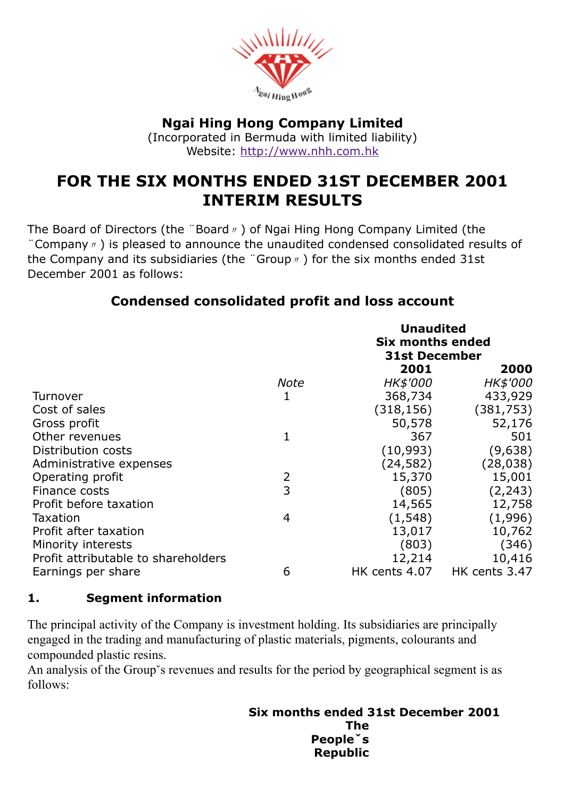

# Ngai Hing Hong Company Limited

(Incorporated in Bermuda with limited liability) Website: [http://www.nhh.com.hk](http://www.nhh.com.hk/)

# FOR THE SIX MONTHS ENDED 31ST DECEMBER 2001 INTERIM RESULTS

The Board of Directors (the "Board <sub>n</sub>) of Ngai Hing Hong Company Limited (the ¨Company〃) is pleased to announce the unaudited condensed consolidated results of the Company and its subsidiaries (the "Group  $\psi$ ) for the six months ended 31st December 2001 as follows:

# Condensed consolidated profit and loss account

|                                     |      | <b>Unaudited</b><br><b>Six months ended</b><br><b>31st December</b> |               |
|-------------------------------------|------|---------------------------------------------------------------------|---------------|
|                                     |      | 2001                                                                | 2000          |
|                                     | Note | <i>HK\$'000</i>                                                     | HK\$'000      |
| Turnover                            |      | 368,734                                                             | 433,929       |
| Cost of sales                       |      | (318, 156)                                                          | (381, 753)    |
| Gross profit                        |      | 50,578                                                              | 52,176        |
| Other revenues                      | 1    | 367                                                                 | 501           |
| Distribution costs                  |      | (10,993)                                                            | (9,638)       |
| Administrative expenses             |      | (24, 582)                                                           | (28, 038)     |
| Operating profit                    | 2    | 15,370                                                              | 15,001        |
| Finance costs                       | 3    | (805)                                                               | (2, 243)      |
| Profit before taxation              |      | 14,565                                                              | 12,758        |
| Taxation                            | 4    | (1, 548)                                                            | (1,996)       |
| Profit after taxation               |      | 13,017                                                              | 10,762        |
| Minority interests                  |      | (803)                                                               | (346)         |
| Profit attributable to shareholders |      | 12,214                                                              | 10,416        |
| Earnings per share                  | 6    | HK cents 4.07                                                       | HK cents 3.47 |

### 1. Segment information

The principal activity of the Company is investment holding. Its subsidiaries are principally engaged in the trading and manufacturing of plastic materials, pigments, colourants and compounded plastic resins.

An analysis of the Group's revenues and results for the period by geographical segment is as follows:

#### Six months ended 31st December 2001 The Peopleˇs Republic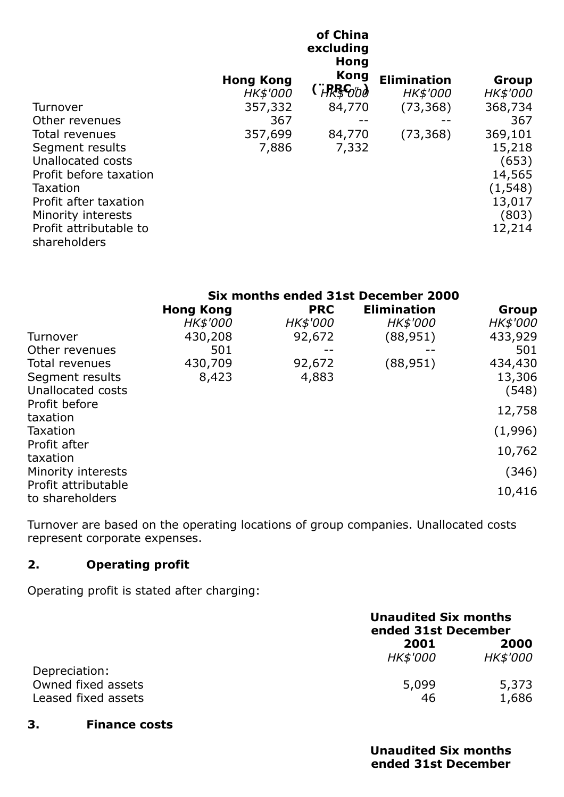|                        |                  | of China<br>excluding<br><b>Hong</b> |                    |          |
|------------------------|------------------|--------------------------------------|--------------------|----------|
|                        | <b>Hong Kong</b> | <b>Kong</b>                          | <b>Elimination</b> | Group    |
|                        | HK\$'000         | (``HRBG⁄b∂                           | HK\$'000           | HK\$'000 |
| Turnover               | 357,332          | 84,770                               | (73, 368)          | 368,734  |
| Other revenues         | 367              |                                      |                    | 367      |
| Total revenues         | 357,699          | 84,770                               | (73, 368)          | 369,101  |
| Segment results        | 7,886            | 7,332                                |                    | 15,218   |
| Unallocated costs      |                  |                                      |                    | (653)    |
| Profit before taxation |                  |                                      |                    | 14,565   |
| Taxation               |                  |                                      |                    | (1, 548) |
| Profit after taxation  |                  |                                      |                    | 13,017   |
| Minority interests     |                  |                                      |                    | (803)    |
| Profit attributable to |                  |                                      |                    | 12,214   |
| shareholders           |                  |                                      |                    |          |

|                                        | Six months ended 31st December 2000 |            |                    |          |
|----------------------------------------|-------------------------------------|------------|--------------------|----------|
|                                        | <b>Hong Kong</b>                    | <b>PRC</b> | <b>Elimination</b> | Group    |
|                                        | HK\$'000                            | HK\$'000   | HK\$'000           | HK\$'000 |
| Turnover                               | 430,208                             | 92,672     | (88, 951)          | 433,929  |
| Other revenues                         | 501                                 |            |                    | 501      |
| Total revenues                         | 430,709                             | 92,672     | (88, 951)          | 434,430  |
| Segment results                        | 8,423                               | 4,883      |                    | 13,306   |
| Unallocated costs                      |                                     |            |                    | (548)    |
| Profit before                          |                                     |            |                    | 12,758   |
| taxation                               |                                     |            |                    |          |
| Taxation                               |                                     |            |                    | (1,996)  |
| Profit after                           |                                     |            |                    | 10,762   |
| taxation                               |                                     |            |                    |          |
| Minority interests                     |                                     |            |                    | (346)    |
| Profit attributable<br>to shareholders |                                     |            |                    | 10,416   |

Turnover are based on the operating locations of group companies. Unallocated costs represent corporate expenses.

### 2. Operating profit

Operating profit is stated after charging:

|                                           |                         | <b>Unaudited Six months</b><br>ended 31st December |  |
|-------------------------------------------|-------------------------|----------------------------------------------------|--|
|                                           | 2001<br><b>HK\$'000</b> | 2000<br><i>HK\$'000</i>                            |  |
| Depreciation:                             |                         |                                                    |  |
| Owned fixed assets<br>Leased fixed assets | 5,099<br>46             | 5,373<br>1,686                                     |  |

#### 3. Finance costs

Unaudited Six months ended 31st December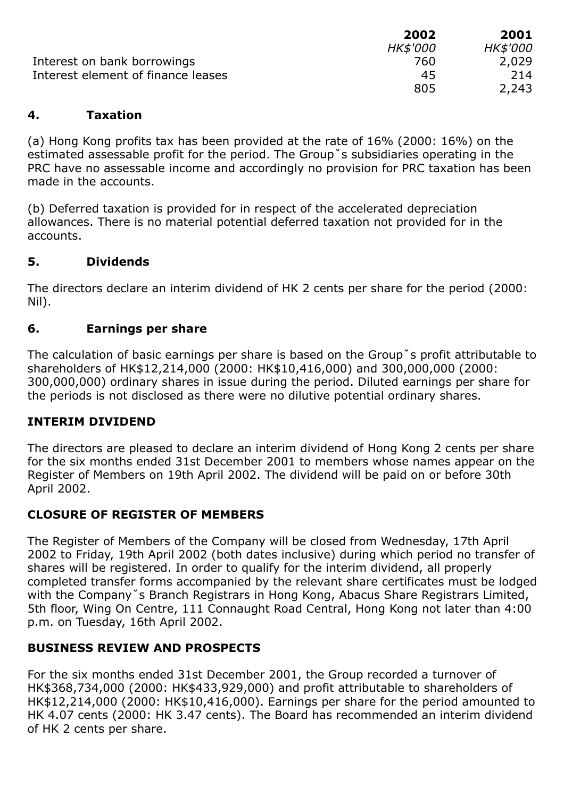|                                    | 2002            | 2001            |
|------------------------------------|-----------------|-----------------|
|                                    | <b>HK\$'000</b> | <i>HK\$'000</i> |
| Interest on bank borrowings        | 760             | 2,029           |
| Interest element of finance leases | 45              | 214             |
|                                    | 805             | 2,243           |

#### 4. Taxation

(a) Hong Kong profits tax has been provided at the rate of 16% (2000: 16%) on the estimated assessable profit for the period. The Groupˇs subsidiaries operating in the PRC have no assessable income and accordingly no provision for PRC taxation has been made in the accounts.

(b) Deferred taxation is provided for in respect of the accelerated depreciation allowances. There is no material potential deferred taxation not provided for in the accounts.

### 5. Dividends

The directors declare an interim dividend of HK 2 cents per share for the period (2000: Nil).

### 6. Earnings per share

The calculation of basic earnings per share is based on the Groupˇs profit attributable to shareholders of HK\$12,214,000 (2000: HK\$10,416,000) and 300,000,000 (2000: 300,000,000) ordinary shares in issue during the period. Diluted earnings per share for the periods is not disclosed as there were no dilutive potential ordinary shares.

#### INTERIM DIVIDEND

The directors are pleased to declare an interim dividend of Hong Kong 2 cents per share for the six months ended 31st December 2001 to members whose names appear on the Register of Members on 19th April 2002. The dividend will be paid on or before 30th April 2002.

#### CLOSURE OF REGISTER OF MEMBERS

The Register of Members of the Company will be closed from Wednesday, 17th April 2002 to Friday, 19th April 2002 (both dates inclusive) during which period no transfer of shares will be registered. In order to qualify for the interim dividend, all properly completed transfer forms accompanied by the relevant share certificates must be lodged with the Company<sup>\*</sup>s Branch Registrars in Hong Kong, Abacus Share Registrars Limited, 5th floor, Wing On Centre, 111 Connaught Road Central, Hong Kong not later than 4:00 p.m. on Tuesday, 16th April 2002.

### BUSINESS REVIEW AND PROSPECTS

For the six months ended 31st December 2001, the Group recorded a turnover of HK\$368,734,000 (2000: HK\$433,929,000) and profit attributable to shareholders of HK\$12,214,000 (2000: HK\$10,416,000). Earnings per share for the period amounted to HK 4.07 cents (2000: HK 3.47 cents). The Board has recommended an interim dividend of HK 2 cents per share.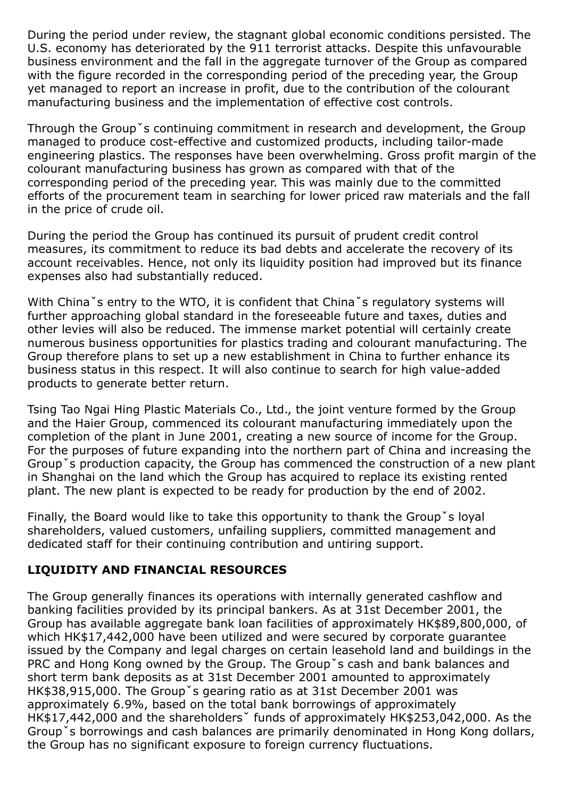During the period under review, the stagnant global economic conditions persisted. The U.S. economy has deteriorated by the 911 terrorist attacks. Despite this unfavourable business environment and the fall in the aggregate turnover of the Group as compared with the figure recorded in the corresponding period of the preceding year, the Group yet managed to report an increase in profit, due to the contribution of the colourant manufacturing business and the implementation of effective cost controls.

Through the Groupˇs continuing commitment in research and development, the Group managed to produce cost-effective and customized products, including tailor-made engineering plastics. The responses have been overwhelming. Gross profit margin of the colourant manufacturing business has grown as compared with that of the corresponding period of the preceding year. This was mainly due to the committed efforts of the procurement team in searching for lower priced raw materials and the fall in the price of crude oil.

During the period the Group has continued its pursuit of prudent credit control measures, its commitment to reduce its bad debts and accelerate the recovery of its account receivables. Hence, not only its liquidity position had improved but its finance expenses also had substantially reduced.

With China<sup>\*</sup>s entry to the WTO, it is confident that China<sup>\*</sup>s regulatory systems will further approaching global standard in the foreseeable future and taxes, duties and other levies will also be reduced. The immense market potential will certainly create numerous business opportunities for plastics trading and colourant manufacturing. The Group therefore plans to set up a new establishment in China to further enhance its business status in this respect. It will also continue to search for high value-added products to generate better return.

Tsing Tao Ngai Hing Plastic Materials Co., Ltd., the joint venture formed by the Group and the Haier Group, commenced its colourant manufacturing immediately upon the completion of the plant in June 2001, creating a new source of income for the Group. For the purposes of future expanding into the northern part of China and increasing the Groupˇs production capacity, the Group has commenced the construction of a new plant in Shanghai on the land which the Group has acquired to replace its existing rented plant. The new plant is expected to be ready for production by the end of 2002.

Finally, the Board would like to take this opportunity to thank the Groupˇs loyal shareholders, valued customers, unfailing suppliers, committed management and dedicated staff for their continuing contribution and untiring support.

### LIQUIDITY AND FINANCIAL RESOURCES

The Group generally finances its operations with internally generated cashflow and banking facilities provided by its principal bankers. As at 31st December 2001, the Group has available aggregate bank loan facilities of approximately HK\$89,800,000, of which HK\$17,442,000 have been utilized and were secured by corporate guarantee issued by the Company and legal charges on certain leasehold land and buildings in the PRC and Hong Kong owned by the Group. The Groupˇs cash and bank balances and short term bank deposits as at 31st December 2001 amounted to approximately HK\$38,915,000. The Groupˇs gearing ratio as at 31st December 2001 was approximately 6.9%, based on the total bank borrowings of approximately HK\$17,442,000 and the shareholdersˇ funds of approximately HK\$253,042,000. As the Groupˇs borrowings and cash balances are primarily denominated in Hong Kong dollars, the Group has no significant exposure to foreign currency fluctuations.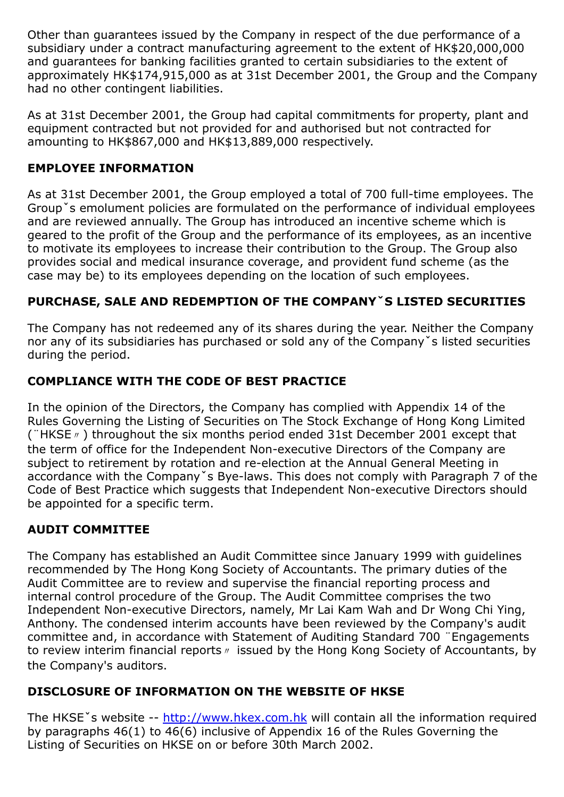Other than guarantees issued by the Company in respect of the due performance of a subsidiary under a contract manufacturing agreement to the extent of HK\$20,000,000 and guarantees for banking facilities granted to certain subsidiaries to the extent of approximately HK\$174,915,000 as at 31st December 2001, the Group and the Company had no other contingent liabilities.

As at 31st December 2001, the Group had capital commitments for property, plant and equipment contracted but not provided for and authorised but not contracted for amounting to HK\$867,000 and HK\$13,889,000 respectively.

## EMPLOYEE INFORMATION

As at 31st December 2001, the Group employed a total of 700 full-time employees. The Groupˇs emolument policies are formulated on the performance of individual employees and are reviewed annually. The Group has introduced an incentive scheme which is geared to the profit of the Group and the performance of its employees, as an incentive to motivate its employees to increase their contribution to the Group. The Group also provides social and medical insurance coverage, and provident fund scheme (as the case may be) to its employees depending on the location of such employees.

# PURCHASE, SALE AND REDEMPTION OF THE COMPANYˇS LISTED SECURITIES

The Company has not redeemed any of its shares during the year. Neither the Company nor any of its subsidiaries has purchased or sold any of the Companyˇs listed securities during the period.

# COMPLIANCE WITH THE CODE OF BEST PRACTICE

In the opinion of the Directors, the Company has complied with Appendix 14 of the Rules Governing the Listing of Securities on The Stock Exchange of Hong Kong Limited (¨HKSE〃) throughout the six months period ended 31st December 2001 except that the term of office for the Independent Non-executive Directors of the Company are subject to retirement by rotation and re-election at the Annual General Meeting in accordance with the Company s Bye-laws. This does not comply with Paragraph 7 of the Code of Best Practice which suggests that Independent Non-executive Directors should be appointed for a specific term.

# AUDIT COMMITTEE

The Company has established an Audit Committee since January 1999 with guidelines recommended by The Hong Kong Society of Accountants. The primary duties of the Audit Committee are to review and supervise the financial reporting process and internal control procedure of the Group. The Audit Committee comprises the two Independent Non-executive Directors, namely, Mr Lai Kam Wah and Dr Wong Chi Ying, Anthony. The condensed interim accounts have been reviewed by the Company's audit committee and, in accordance with Statement of Auditing Standard 700 ¨Engagements to review interim financial reports <sup>n</sup> issued by the Hong Kong Society of Accountants, by the Company's auditors.

# DISCLOSURE OF INFORMATION ON THE WEBSITE OF HKSE

The HKSE<sup>x</sup> s website -- [http://www.hkex.com.hk](http://www.hkex.com.hk/) will contain all the information required by paragraphs 46(1) to 46(6) inclusive of Appendix 16 of the Rules Governing the Listing of Securities on HKSE on or before 30th March 2002.